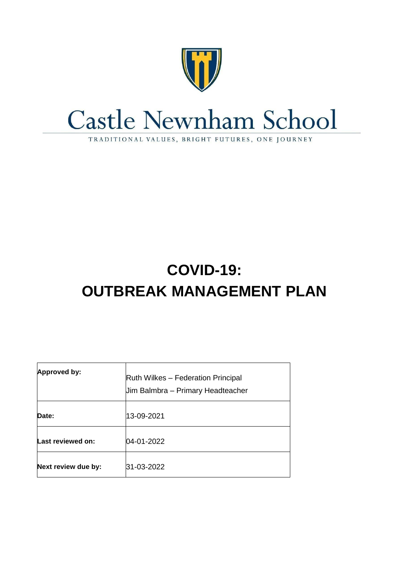

# **Castle Newnham School**

TRADITIONAL VALUES, BRIGHT FUTURES, ONE JOURNEY

# **COVID-19: OUTBREAK MANAGEMENT PLAN**

| <b>Approved by:</b> | <b>Ruth Wilkes – Federation Principal</b><br>Jim Balmbra - Primary Headteacher |
|---------------------|--------------------------------------------------------------------------------|
| Date:               | 13-09-2021                                                                     |
| Last reviewed on:   | 04-01-2022                                                                     |
| Next review due by: | 31-03-2022                                                                     |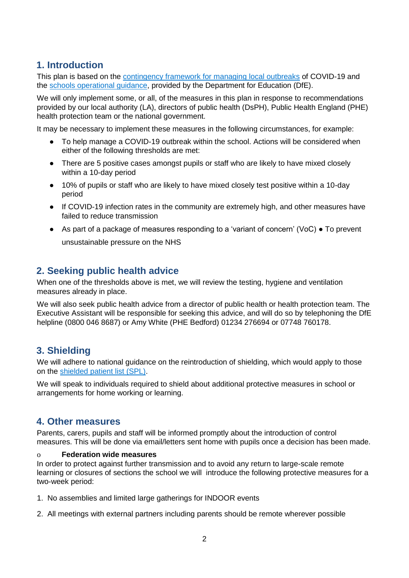# **1. Introduction**

This plan is based on the [contingency framework for managing local outbreaks](https://www.gov.uk/government/publications/coronavirus-covid-19-local-restrictions-in-education-and-childcare-settings) of COVID-19 and the [schools operational guidance,](https://www.gov.uk/government/publications/actions-for-schools-during-the-coronavirus-outbreak) provided by the Department for Education (DfE).

We will only implement some, or all, of the measures in this plan in response to recommendations provided by our local authority (LA), directors of public health (DsPH), Public Health England (PHE) health protection team or the national government.

It may be necessary to implement these measures in the following circumstances, for example:

- To help manage a COVID-19 outbreak within the school. Actions will be considered when either of the following thresholds are met:
- There are 5 positive cases amongst pupils or staff who are likely to have mixed closely within a 10-day period
- 10% of pupils or staff who are likely to have mixed closely test positive within a 10-day period
- If COVID-19 infection rates in the community are extremely high, and other measures have failed to reduce transmission
- As part of a package of measures responding to a 'variant of concern' (VoC) To prevent unsustainable pressure on the NHS

# **2. Seeking public health advice**

When one of the thresholds above is met, we will review the testing, hygiene and ventilation measures already in place.

We will also seek public health advice from a director of public health or health protection team. The Executive Assistant will be responsible for seeking this advice, and will do so by telephoning the DfE helpline (0800 046 8687) or Amy White (PHE Bedford) 01234 276694 or 07748 760178.

## **3. Shielding**

We will adhere to national guidance on the reintroduction of shielding, which would apply to those on the [shielded patient list \(SPL\).](https://digital.nhs.uk/coronavirus/shielded-patient-list)

We will speak to individuals required to shield about additional protective measures in school or arrangements for home working or learning.

### **4. Other measures**

Parents, carers, pupils and staff will be informed promptly about the introduction of control measures. This will be done via email/letters sent home with pupils once a decision has been made.

#### o **Federation wide measures**

In order to protect against further transmission and to avoid any return to large-scale remote learning or closures of sections the school we will introduce the following protective measures for a two-week period:

- 1. No assemblies and limited large gatherings for INDOOR events
- 2. All meetings with external partners including parents should be remote wherever possible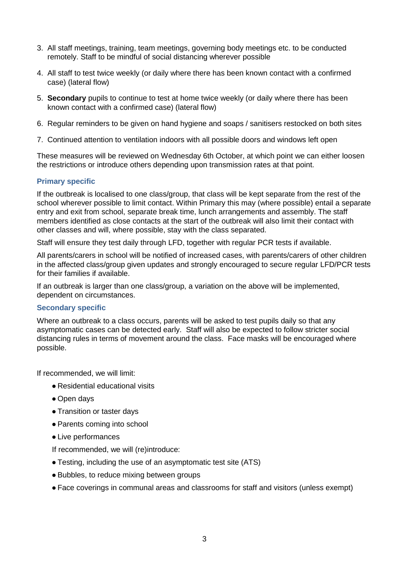- 3. All staff meetings, training, team meetings, governing body meetings etc. to be conducted remotely. Staff to be mindful of social distancing wherever possible
- 4. All staff to test twice weekly (or daily where there has been known contact with a confirmed case) (lateral flow)
- 5. **Secondary** pupils to continue to test at home twice weekly (or daily where there has been known contact with a confirmed case) (lateral flow)
- 6. Regular reminders to be given on hand hygiene and soaps / sanitisers restocked on both sites
- 7. Continued attention to ventilation indoors with all possible doors and windows left open

These measures will be reviewed on Wednesday 6th October, at which point we can either loosen the restrictions or introduce others depending upon transmission rates at that point.

#### **Primary specific**

If the outbreak is localised to one class/group, that class will be kept separate from the rest of the school wherever possible to limit contact. Within Primary this may (where possible) entail a separate entry and exit from school, separate break time, lunch arrangements and assembly. The staff members identified as close contacts at the start of the outbreak will also limit their contact with other classes and will, where possible, stay with the class separated.

Staff will ensure they test daily through LFD, together with regular PCR tests if available.

All parents/carers in school will be notified of increased cases, with parents/carers of other children in the affected class/group given updates and strongly encouraged to secure regular LFD/PCR tests for their families if available.

If an outbreak is larger than one class/group, a variation on the above will be implemented, dependent on circumstances.

#### **Secondary specific**

Where an outbreak to a class occurs, parents will be asked to test pupils daily so that any asymptomatic cases can be detected early. Staff will also be expected to follow stricter social distancing rules in terms of movement around the class. Face masks will be encouraged where possible.

If recommended, we will limit:

- Residential educational visits
- Open days
- Transition or taster days
- Parents coming into school
- Live performances

If recommended, we will (re)introduce:

- Testing, including the use of an asymptomatic test site (ATS)
- Bubbles, to reduce mixing between groups
- Face coverings in communal areas and classrooms for staff and visitors (unless exempt)